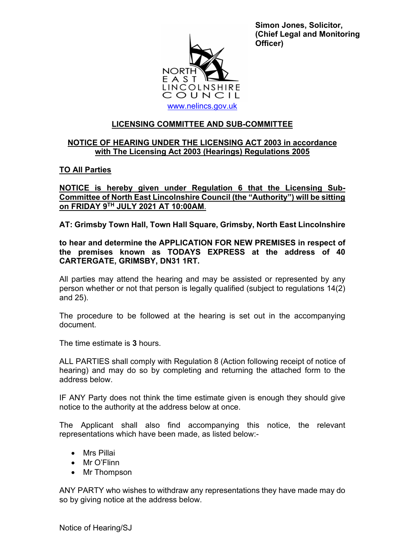

**Simon Jones, Solicitor, (Chief Legal and Monitoring Officer)**

## **LICENSING COMMITTEE AND SUB-COMMITTEE**

# **NOTICE OF HEARING UNDER THE LICENSING ACT 2003 in accordance with The Licensing Act 2003 (Hearings) Regulations 2005**

### **TO All Parties**

**NOTICE is hereby given under Regulation 6 that the Licensing Sub-Committee of North East Lincolnshire Council (the "Authority") will be sitting on FRIDAY 9TH JULY 2021 AT 10:00AM**.

**AT: Grimsby Town Hall, Town Hall Square, Grimsby, North East Lincolnshire**

### **to hear and determine the APPLICATION FOR NEW PREMISES in respect of the premises known as TODAYS EXPRESS at the address of 40 CARTERGATE, GRIMSBY, DN31 1RT.**

All parties may attend the hearing and may be assisted or represented by any person whether or not that person is legally qualified (subject to regulations 14(2) and 25).

The procedure to be followed at the hearing is set out in the accompanying document.

The time estimate is **3** hours.

ALL PARTIES shall comply with Regulation 8 (Action following receipt of notice of hearing) and may do so by completing and returning the attached form to the address below.

IF ANY Party does not think the time estimate given is enough they should give notice to the authority at the address below at once.

The Applicant shall also find accompanying this notice, the relevant representations which have been made, as listed below:-

- Mrs Pillai
- Mr O'Flinn
- Mr Thompson

ANY PARTY who wishes to withdraw any representations they have made may do so by giving notice at the address below.